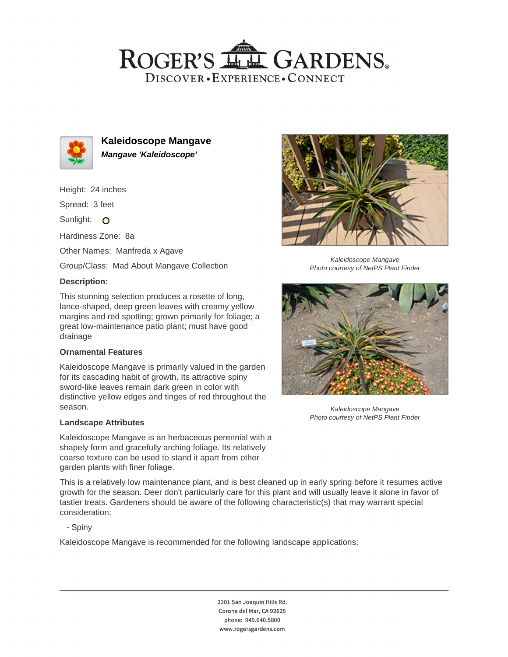## ROGER'S LL GARDENS. DISCOVER · EXPERIENCE · CONNECT



**Kaleidoscope Mangave Mangave 'Kaleidoscope'**

Height: 24 inches

Spread: 3 feet

Sunlight: O

Hardiness Zone: 8a

Other Names: Manfreda x Agave

Group/Class: Mad About Mangave Collection

### **Description:**

This stunning selection produces a rosette of long, lance-shaped, deep green leaves with creamy yellow margins and red spotting; grown primarily for foliage; a great low-maintenance patio plant; must have good drainage

#### **Ornamental Features**

Kaleidoscope Mangave is primarily valued in the garden for its cascading habit of growth. Its attractive spiny sword-like leaves remain dark green in color with distinctive yellow edges and tinges of red throughout the season.

#### **Landscape Attributes**

Kaleidoscope Mangave is an herbaceous perennial with a shapely form and gracefully arching foliage. Its relatively coarse texture can be used to stand it apart from other garden plants with finer foliage.

This is a relatively low maintenance plant, and is best cleaned up in early spring before it resumes active growth for the season. Deer don't particularly care for this plant and will usually leave it alone in favor of tastier treats. Gardeners should be aware of the following characteristic(s) that may warrant special consideration;

- Spiny

Kaleidoscope Mangave is recommended for the following landscape applications;

2301 San Joaquin Hills Rd. Corona del Mar, CA 92625 phone: 949.640.5800 www.rogersgardens.com



Kaleidoscope Mangave Photo courtesy of NetPS Plant Finder



Kaleidoscope Mangave Photo courtesy of NetPS Plant Finder